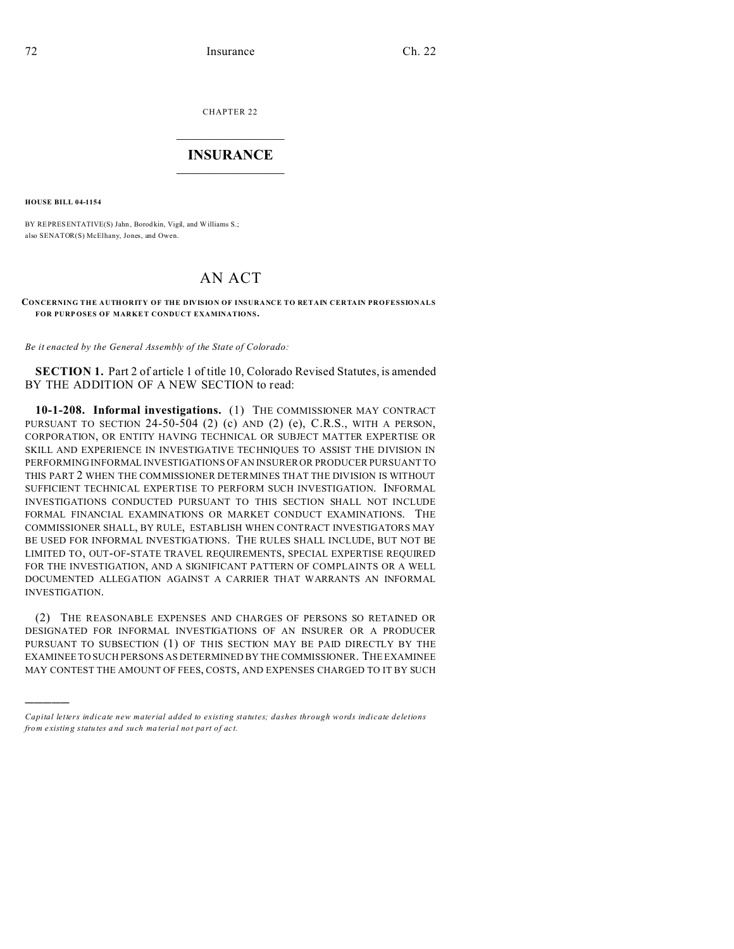CHAPTER 22  $\overline{\phantom{a}}$  , where  $\overline{\phantom{a}}$ 

## **INSURANCE**  $\_$   $\_$   $\_$   $\_$   $\_$   $\_$   $\_$   $\_$

**HOUSE BILL 04-1154**

)))))

BY REPRESENTATIVE(S) Jahn, Borodkin, Vigil, and Williams S.; also SENATOR(S) McElhany, Jones, and Owen.

## AN ACT

**CONCERNING THE AUTHORITY OF THE DIVISION OF INSURANCE TO RETAIN CERTAIN PROFESSIONALS** FOR PURPOSES OF MARKET CONDUCT EXAMINATIONS.

*Be it enacted by the General Assembly of the State of Colorado:*

**SECTION 1.** Part 2 of article 1 of title 10, Colorado Revised Statutes, is amended BY THE ADDITION OF A NEW SECTION to read:

**10-1-208. Informal investigations.** (1) THE COMMISSIONER MAY CONTRACT PURSUANT TO SECTION 24-50-504 (2) (c) AND (2) (e), C.R.S., WITH A PERSON, CORPORATION, OR ENTITY HAVING TECHNICAL OR SUBJECT MATTER EXPERTISE OR SKILL AND EXPERIENCE IN INVESTIGATIVE TECHNIQUES TO ASSIST THE DIVISION IN PERFORMING INFORMAL INVESTIGATIONS OF AN INSURER OR PRODUCER PURSUANT TO THIS PART 2 WHEN THE COMMISSIONER DETERMINES THAT THE DIVISION IS WITHOUT SUFFICIENT TECHNICAL EXPERTISE TO PERFORM SUCH INVESTIGATION. INFORMAL INVESTIGATIONS CONDUCTED PURSUANT TO THIS SECTION SHALL NOT INCLUDE FORMAL FINANCIAL EXAMINATIONS OR MARKET CONDUCT EXAMINATIONS. THE COMMISSIONER SHALL, BY RULE, ESTABLISH WHEN CONTRACT INVESTIGATORS MAY BE USED FOR INFORMAL INVESTIGATIONS. THE RULES SHALL INCLUDE, BUT NOT BE LIMITED TO, OUT-OF-STATE TRAVEL REQUIREMENTS, SPECIAL EXPERTISE REQUIRED FOR THE INVESTIGATION, AND A SIGNIFICANT PATTERN OF COMPLAINTS OR A WELL DOCUMENTED ALLEGATION AGAINST A CARRIER THAT WARRANTS AN INFORMAL INVESTIGATION.

(2) THE REASONABLE EXPENSES AND CHARGES OF PERSONS SO RETAINED OR DESIGNATED FOR INFORMAL INVESTIGATIONS OF AN INSURER OR A PRODUCER PURSUANT TO SUBSECTION (1) OF THIS SECTION MAY BE PAID DIRECTLY BY THE EXAMINEE TO SUCH PERSONS AS DETERMINED BY THE COMMISSIONER. THE EXAMINEE MAY CONTEST THE AMOUNT OF FEES, COSTS, AND EXPENSES CHARGED TO IT BY SUCH

*Capital letters indicate new material added to existing statutes; dashes through words indicate deletions from e xistin g statu tes a nd such ma teria l no t pa rt of ac t.*